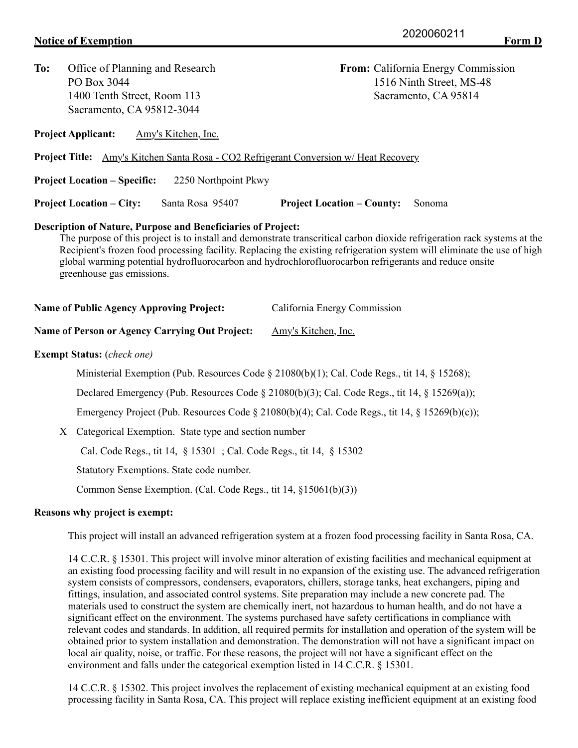| To:                                                                                                                                                                                                                                                                                                                                                                                                                                                              | Office of Planning and Research<br>PO Box 3044<br>1400 Tenth Street, Room 113<br>Sacramento, CA 95812-3044                                                                                         | From: California Energy Commission<br>1516 Ninth Street, MS-48<br>Sacramento, CA 95814 |  |
|------------------------------------------------------------------------------------------------------------------------------------------------------------------------------------------------------------------------------------------------------------------------------------------------------------------------------------------------------------------------------------------------------------------------------------------------------------------|----------------------------------------------------------------------------------------------------------------------------------------------------------------------------------------------------|----------------------------------------------------------------------------------------|--|
|                                                                                                                                                                                                                                                                                                                                                                                                                                                                  | <b>Project Applicant:</b><br>Amy's Kitchen, Inc.                                                                                                                                                   |                                                                                        |  |
|                                                                                                                                                                                                                                                                                                                                                                                                                                                                  | <b>Project Title:</b> Amy's Kitchen Santa Rosa - CO2 Refrigerant Conversion w/ Heat Recovery                                                                                                       |                                                                                        |  |
|                                                                                                                                                                                                                                                                                                                                                                                                                                                                  | <b>Project Location – Specific:</b><br>2250 Northpoint Pkwy                                                                                                                                        |                                                                                        |  |
|                                                                                                                                                                                                                                                                                                                                                                                                                                                                  | <b>Project Location – City:</b><br>Santa Rosa 95407                                                                                                                                                | <b>Project Location – County:</b><br>Sonoma                                            |  |
| <b>Description of Nature, Purpose and Beneficiaries of Project:</b><br>The purpose of this project is to install and demonstrate transcritical carbon dioxide refrigeration rack systems at the<br>Recipient's frozen food processing facility. Replacing the existing refrigeration system will eliminate the use of high<br>global warming potential hydrofluorocarbon and hydrochlorofluorocarbon refrigerants and reduce onsite<br>greenhouse gas emissions. |                                                                                                                                                                                                    |                                                                                        |  |
| <b>Name of Public Agency Approving Project:</b>                                                                                                                                                                                                                                                                                                                                                                                                                  |                                                                                                                                                                                                    | California Energy Commission                                                           |  |
|                                                                                                                                                                                                                                                                                                                                                                                                                                                                  | Name of Person or Agency Carrying Out Project:                                                                                                                                                     | Amy's Kitchen, Inc.                                                                    |  |
| <b>Exempt Status:</b> (check one)                                                                                                                                                                                                                                                                                                                                                                                                                                |                                                                                                                                                                                                    |                                                                                        |  |
|                                                                                                                                                                                                                                                                                                                                                                                                                                                                  | Ministerial Exemption (Pub. Resources Code § 21080(b)(1); Cal. Code Regs., tit 14, § 15268);<br>Declared Emergency (Pub. Resources Code $\S$ 21080(b)(3); Cal. Code Regs., tit 14, $\S$ 15269(a)); |                                                                                        |  |
|                                                                                                                                                                                                                                                                                                                                                                                                                                                                  |                                                                                                                                                                                                    |                                                                                        |  |
|                                                                                                                                                                                                                                                                                                                                                                                                                                                                  | Emergency Project (Pub. Resources Code § 21080(b)(4); Cal. Code Regs., tit 14, § 15269(b)(c));                                                                                                     |                                                                                        |  |
| X                                                                                                                                                                                                                                                                                                                                                                                                                                                                | Categorical Exemption. State type and section number                                                                                                                                               |                                                                                        |  |
|                                                                                                                                                                                                                                                                                                                                                                                                                                                                  | Cal. Code Regs., tit 14, § 15301; Cal. Code Regs., tit 14, § 15302                                                                                                                                 |                                                                                        |  |
|                                                                                                                                                                                                                                                                                                                                                                                                                                                                  | Statutory Exemptions. State code number.                                                                                                                                                           |                                                                                        |  |
|                                                                                                                                                                                                                                                                                                                                                                                                                                                                  |                                                                                                                                                                                                    | Common Sense Exemption. (Cal. Code Regs., tit 14, §15061(b)(3))                        |  |

#### **Reasons why project is exempt:**

This project will install an advanced refrigeration system at a frozen food processing facility in Santa Rosa, CA.

14 C.C.R. § 15301. This project will involve minor alteration of existing facilities and mechanical equipment at an existing food processing facility and will result in no expansion of the existing use. The advanced refrigeration system consists of compressors, condensers, evaporators, chillers, storage tanks, heat exchangers, piping and fittings, insulation, and associated control systems. Site preparation may include a new concrete pad. The materials used to construct the system are chemically inert, not hazardous to human health, and do not have a significant effect on the environment. The systems purchased have safety certifications in compliance with relevant codes and standards. In addition, all required permits for installation and operation of the system will be obtained prior to system installation and demonstration. The demonstration will not have a significant impact on local air quality, noise, or traffic. For these reasons, the project will not have a significant effect on the environment and falls under the categorical exemption listed in 14 C.C.R. § 15301.

14 C.C.R. § 15302. This project involves the replacement of existing mechanical equipment at an existing food processing facility in Santa Rosa, CA. This project will replace existing inefficient equipment at an existing food